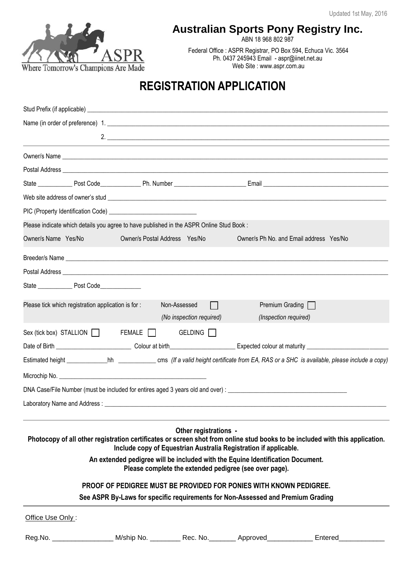

## **Australian Sports Pony Registry Inc.**

ABN 18 968 802 987

Federal Office : ASPR Registrar, PO Box 594, Echuca Vic. 3564 Ph. 0437 245943 Email - aspr@iinet.net.au Web Site : www.aspr.com.au

# **REGISTRATION APPLICATION**

|                                                     | Name (in order of preference) 1.                                                         |                                               |                                                                                                                            |                                                                                                                                                  |
|-----------------------------------------------------|------------------------------------------------------------------------------------------|-----------------------------------------------|----------------------------------------------------------------------------------------------------------------------------|--------------------------------------------------------------------------------------------------------------------------------------------------|
|                                                     |                                                                                          |                                               |                                                                                                                            | 2. $\overline{\phantom{a}}$                                                                                                                      |
|                                                     |                                                                                          |                                               | ,我们也不能在这里的时候,我们也不能在这里的时候,我们也不能会在这里的时候,我们也不能会在这里的时候,我们也不能会在这里的时候,我们也不能会在这里的时候,我们也不                                          |                                                                                                                                                  |
|                                                     |                                                                                          |                                               |                                                                                                                            |                                                                                                                                                  |
|                                                     |                                                                                          |                                               |                                                                                                                            |                                                                                                                                                  |
|                                                     | Web site address of owner's stud                                                         |                                               |                                                                                                                            |                                                                                                                                                  |
|                                                     |                                                                                          |                                               |                                                                                                                            |                                                                                                                                                  |
|                                                     | Please indicate which details you agree to have published in the ASPR Online Stud Book : |                                               |                                                                                                                            |                                                                                                                                                  |
| Owner/s Name Yes/No                                 | Owner/s Postal Address Yes/No                                                            |                                               | Owner/s Ph No. and Email address Yes/No                                                                                    |                                                                                                                                                  |
|                                                     |                                                                                          |                                               |                                                                                                                            |                                                                                                                                                  |
|                                                     |                                                                                          |                                               |                                                                                                                            |                                                                                                                                                  |
|                                                     |                                                                                          |                                               |                                                                                                                            |                                                                                                                                                  |
| Please tick which registration application is for : |                                                                                          | Non-Assessed<br>П<br>(No inspection required) | Premium Grading $\Box$<br>(Inspection required)                                                                            |                                                                                                                                                  |
|                                                     | Sex (tick box) STALLION FEMALE GELDING                                                   |                                               |                                                                                                                            |                                                                                                                                                  |
|                                                     |                                                                                          |                                               |                                                                                                                            |                                                                                                                                                  |
|                                                     |                                                                                          |                                               |                                                                                                                            | Estimated height _____________hh _________________ cms (If a valid height certificate from EA, RAS or a SHC is available, please include a copy) |
|                                                     |                                                                                          |                                               |                                                                                                                            |                                                                                                                                                  |
|                                                     |                                                                                          |                                               |                                                                                                                            |                                                                                                                                                  |
|                                                     |                                                                                          |                                               |                                                                                                                            |                                                                                                                                                  |
|                                                     | An extended pedigree will be included with the Equine Identification Document.           | Other registrations -                         | Include copy of Equestrian Australia Registration if applicable.<br>Please complete the extended pedigree (see over page). | Photocopy of all other registration certificates or screen shot from online stud books to be included with this application.                     |
|                                                     | <b>PROOF OF PEDIGREE MUST BE PROVIDED FOR PONIES WITH KNOWN PEDIGREE.</b>                |                                               |                                                                                                                            |                                                                                                                                                  |
|                                                     | See ASPR By-Laws for specific requirements for Non-Assessed and Premium Grading          |                                               |                                                                                                                            |                                                                                                                                                  |
| Office Use Only:                                    |                                                                                          |                                               |                                                                                                                            |                                                                                                                                                  |
|                                                     |                                                                                          |                                               |                                                                                                                            | Reg.No. ____________________ M/ship No. __________ Rec. No. ________ Approved______________ Entered___________                                   |
|                                                     |                                                                                          |                                               |                                                                                                                            |                                                                                                                                                  |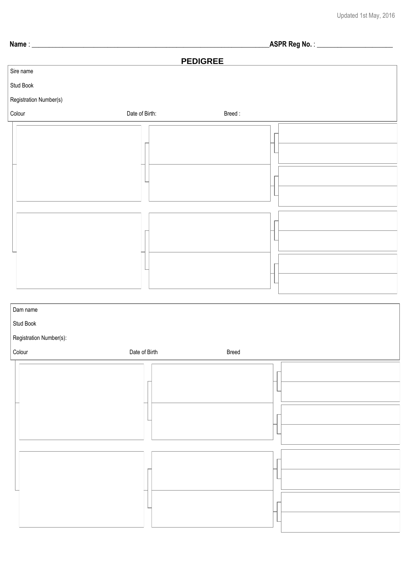**Name** : \_\_\_\_\_\_\_\_\_\_\_\_\_\_\_\_\_\_\_\_\_\_\_\_\_\_\_\_\_\_\_\_\_\_\_\_\_\_\_\_\_\_\_\_\_\_\_\_\_\_\_\_\_\_\_\_\_\_\_\_\_\_\_\_\_\_\_\_\_**ASPR Reg No.** : \_\_\_\_\_\_\_\_\_\_\_\_\_\_\_\_\_\_\_\_\_\_

#### **PEDIGREE**



| ∣ ∪∪i∪ui | Date of Dirti | <b>Diged</b> |
|----------|---------------|--------------|
|          |               |              |
|          |               |              |
|          |               |              |
|          |               |              |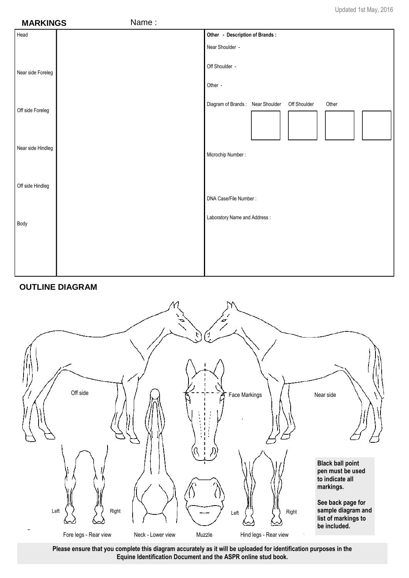| <b>MARKINGS</b>   | Name: |                                                           |
|-------------------|-------|-----------------------------------------------------------|
| Head              |       | Other - Description of Brands:                            |
|                   |       | Near Shoulder -                                           |
| Near side Foreleg |       | Off Shoulder -                                            |
|                   |       | Other -                                                   |
| Off side Foreleg  |       | Diagram of Brands: Near Shoulder<br>Off Shoulder<br>Other |
| Near side Hindleg |       | Microchip Number:                                         |
| Off side Hindleg  |       |                                                           |
|                   |       | DNA Case/File Number:                                     |
| Body              |       | Laboratory Name and Address:                              |
|                   |       |                                                           |

#### **OUTLINE DIAGRAM**



**Please ensure that you complete this diagram accurately as it will be uploaded for identification purposes in the Equine Identification Document and the ASPR online stud book.**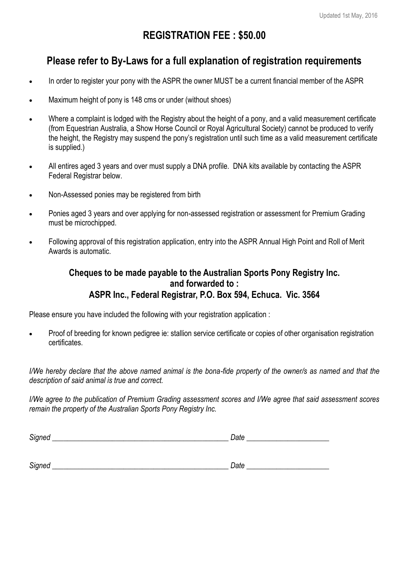# **REGISTRATION FEE : \$50.00**

# **Please refer to By-Laws for a full explanation of registration requirements**

- In order to register your pony with the ASPR the owner MUST be a current financial member of the ASPR
- Maximum height of pony is 148 cms or under (without shoes)
- Where a complaint is lodged with the Registry about the height of a pony, and a valid measurement certificate (from Equestrian Australia, a Show Horse Council or Royal Agricultural Society) cannot be produced to verify the height, the Registry may suspend the pony's registration until such time as a valid measurement certificate is supplied.)
- All entires aged 3 years and over must supply a DNA profile. DNA kits available by contacting the ASPR Federal Registrar below.
- Non-Assessed ponies may be registered from birth
- Ponies aged 3 years and over applying for non-assessed registration or assessment for Premium Grading must be microchipped.
- Following approval of this registration application, entry into the ASPR Annual High Point and Roll of Merit Awards is automatic.

### **Cheques to be made payable to the Australian Sports Pony Registry Inc. and forwarded to : ASPR Inc., Federal Registrar, P.O. Box 594, Echuca. Vic. 3564**

Please ensure you have included the following with your registration application :

 Proof of breeding for known pedigree ie: stallion service certificate or copies of other organisation registration certificates.

*I/We hereby declare that the above named animal is the bona-fide property of the owner/s as named and that the description of said animal is true and correct.*

*I/We agree to the publication of Premium Grading assessment scores and I/We agree that said assessment scores remain the property of the Australian Sports Pony Registry Inc.*

| $\sim$<br>. זור<br>-- | _ |
|-----------------------|---|
|                       |   |

| $\sim$<br>′µgne | $\sim$<br>,,,,,<br>้นเ<br>- |
|-----------------|-----------------------------|
|                 |                             |